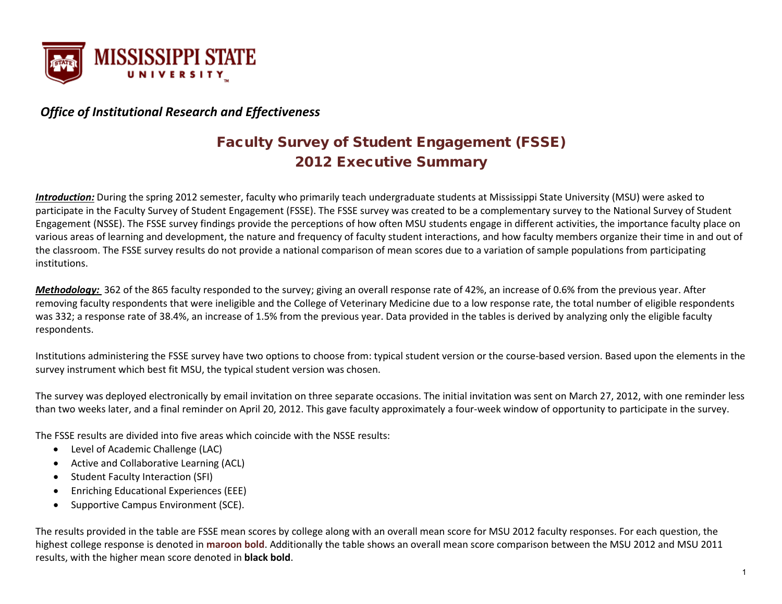

#### *Office of Institutional Research and Effectiveness*

### Faculty Survey of Student Engagement (FSSE) 2012 Executive Summary

*Introduction:* During the spring 2012 semester, faculty who primarily teach undergraduate students at Mississippi State University (MSU) were asked to participate in the Faculty Survey of Student Engagement (FSSE). The FSSE survey was created to be a complementary survey to the National Survey of Student Engagement (NSSE). The FSSE survey findings provide the perceptions of how often MSU students engage in different activities, the importance faculty place on various areas of learning and development, the nature and frequency of faculty student interactions, and how faculty members organize their time in and out of the classroom. The FSSE survey results do not provide a national comparison of mean scores due to a variation of sample populations from participating institutions.

*Methodology:* 362 of the 865 faculty responded to the survey; giving an overall response rate of 42%, an increase of 0.6% from the previous year. After removing faculty respondents that were ineligible and the College of Veterinary Medicine due to a low response rate, the total number of eligible respondents was 332; a response rate of 38.4%, an increase of 1.5% from the previous year. Data provided in the tables is derived by analyzing only the eligible faculty respondents.

Institutions administering the FSSE survey have two options to choose from: typical student version or the course-based version. Based upon the elements in the survey instrument which best fit MSU, the typical student version was chosen.

The survey was deployed electronically by email invitation on three separate occasions. The initial invitation was sent on March 27, 2012, with one reminder less than two weeks later, and a final reminder on April 20, 2012. This gave faculty approximately a four-week window of opportunity to participate in the survey.

The FSSE results are divided into five areas which coincide with the NSSE results:

- Level of Academic Challenge (LAC)
- Active and Collaborative Learning (ACL)
- Student Faculty Interaction (SFI)
- Enriching Educational Experiences (EEE)
- Supportive Campus Environment (SCE).

The results provided in the table are FSSE mean scores by college along with an overall mean score for MSU 2012 faculty responses. For each question, the highest college response is denoted in **maroon bold**. Additionally the table shows an overall mean score comparison between the MSU 2012 and MSU 2011 results, with the higher mean score denoted in **black bold**.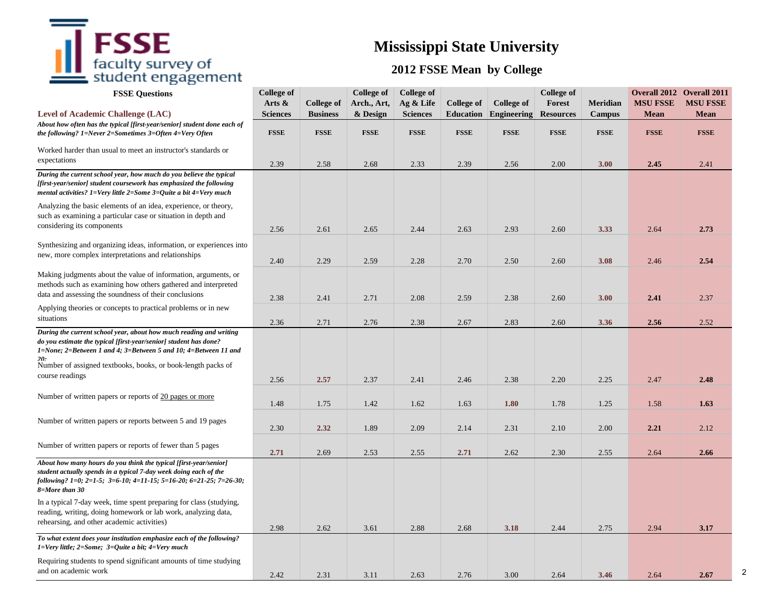## $\mathsf{FSSE}_{\mathsf{faculty\ survey\ of}}$

### **Mississippi State University**

#### **2012 FSSE Mean by College**

2

| <b>FSSE Questions</b>                                                                                                                                                                                                                                                             | <b>College of</b><br>Arts $\&$ | <b>College of</b>              | <b>College of</b><br>Arch., Art, | <b>College of</b><br>Ag & Life | <b>College of</b>               | College of                        | <b>College of</b><br>Forest     | <b>Meridian</b>       | <b>Overall 2012 Overall 2011</b><br><b>MSU FSSE</b> | <b>MSU FSSE</b>            |
|-----------------------------------------------------------------------------------------------------------------------------------------------------------------------------------------------------------------------------------------------------------------------------------|--------------------------------|--------------------------------|----------------------------------|--------------------------------|---------------------------------|-----------------------------------|---------------------------------|-----------------------|-----------------------------------------------------|----------------------------|
| <b>Level of Academic Challenge (LAC)</b><br>About how often has the typical [first-year/senior] student done each of<br>the following? 1=Never 2=Sometimes 3=Often 4=Very Often                                                                                                   | <b>Sciences</b><br><b>FSSE</b> | <b>Business</b><br><b>FSSE</b> | & Design<br><b>FSSE</b>          | <b>Sciences</b><br><b>FSSE</b> | <b>Education</b><br><b>FSSE</b> | <b>Engineering</b><br><b>FSSE</b> | <b>Resources</b><br><b>FSSE</b> | Campus<br><b>FSSE</b> | <b>Mean</b><br><b>FSSE</b>                          | <b>Mean</b><br><b>FSSE</b> |
| Worked harder than usual to meet an instructor's standards or<br>expectations                                                                                                                                                                                                     | 2.39                           | 2.58                           | 2.68                             | 2.33                           | 2.39                            | 2.56                              | 2.00                            | 3.00                  | 2.45                                                | 2.41                       |
| During the current school year, how much do you believe the typical<br>[first-year/senior] student coursework has emphasized the following<br>mental activities? 1=Very little 2=Some 3=Quite a bit 4=Very much                                                                   |                                |                                |                                  |                                |                                 |                                   |                                 |                       |                                                     |                            |
| Analyzing the basic elements of an idea, experience, or theory,<br>such as examining a particular case or situation in depth and<br>considering its components                                                                                                                    | 2.56                           | 2.61                           | 2.65                             | 2.44                           | 2.63                            | 2.93                              | 2.60                            | 3.33                  | 2.64                                                | 2.73                       |
| Synthesizing and organizing ideas, information, or experiences into<br>new, more complex interpretations and relationships                                                                                                                                                        | 2.40                           | 2.29                           | 2.59                             | 2.28                           | 2.70                            | 2.50                              | 2.60                            | 3.08                  | 2.46                                                | 2.54                       |
| Making judgments about the value of information, arguments, or<br>methods such as examining how others gathered and interpreted<br>data and assessing the soundness of their conclusions                                                                                          | 2.38                           | 2.41                           | 2.71                             | 2.08                           | 2.59                            | 2.38                              | 2.60                            | 3.00                  | 2.41                                                | 2.37                       |
| Applying theories or concepts to practical problems or in new<br>situations                                                                                                                                                                                                       | 2.36                           | 2.71                           | 2.76                             | 2.38                           | 2.67                            | 2.83                              | 2.60                            | 3.36                  | 2.56                                                | 2.52                       |
| During the current school year, about how much reading and writing<br>do you estimate the typical [first-year/senior] student has done?<br>1=None; 2=Between 1 and 4; 3=Between 5 and 10; 4=Between 11 and<br>20.<br>Number of assigned textbooks, books, or book-length packs of |                                |                                |                                  |                                |                                 |                                   |                                 |                       |                                                     |                            |
| course readings                                                                                                                                                                                                                                                                   | 2.56                           | 2.57                           | 2.37                             | 2.41                           | 2.46                            | 2.38                              | 2.20                            | 2.25                  | 2.47                                                | 2.48                       |
| Number of written papers or reports of 20 pages or more                                                                                                                                                                                                                           | 1.48                           | 1.75                           | 1.42                             | 1.62                           | 1.63                            | 1.80                              | 1.78                            | 1.25                  | 1.58                                                | 1.63                       |
| Number of written papers or reports between 5 and 19 pages                                                                                                                                                                                                                        | 2.30                           | 2.32                           | 1.89                             | 2.09                           | 2.14                            | 2.31                              | 2.10                            | 2.00                  | 2.21                                                | 2.12                       |
| Number of written papers or reports of fewer than 5 pages                                                                                                                                                                                                                         | 2.71                           | 2.69                           | 2.53                             | 2.55                           | 2.71                            | 2.62                              | 2.30                            | 2.55                  | 2.64                                                | 2.66                       |
| About how many hours do you think the typical [first-year/senior]<br>student actually spends in a typical 7-day week doing each of the<br>following? 1=0; 2=1-5; 3=6-10; 4=11-15; 5=16-20; 6=21-25; 7=26-30;<br>8=More than 30                                                    |                                |                                |                                  |                                |                                 |                                   |                                 |                       |                                                     |                            |
| In a typical 7-day week, time spent preparing for class (studying,<br>reading, writing, doing homework or lab work, analyzing data,<br>rehearsing, and other academic activities)                                                                                                 | 2.98                           | 2.62                           | 3.61                             | 2.88                           | 2.68                            | 3.18                              | 2.44                            | 2.75                  | 2.94                                                | 3.17                       |
| To what extent does your institution emphasize each of the following?<br>$1 = Very$ little; $2 = Some$ ; $3 = Quite$ a bit; $4 = Very$ much                                                                                                                                       |                                |                                |                                  |                                |                                 |                                   |                                 |                       |                                                     |                            |
| Requiring students to spend significant amounts of time studying<br>and on academic work                                                                                                                                                                                          | 2.42                           | 2.31                           | 3.11                             | 2.63                           | 2.76                            | 3.00                              | 2.64                            | 3.46                  | 2.64                                                | 2.67                       |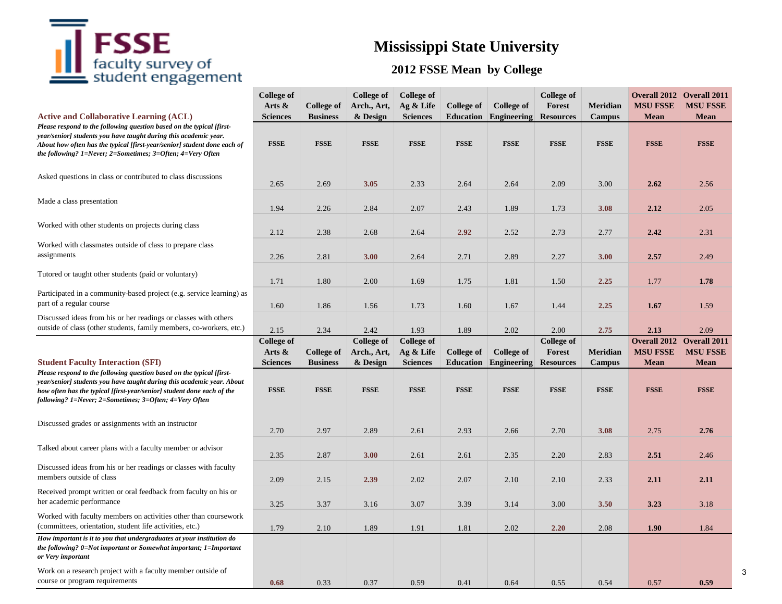## $\bar{\mathbf{I}}$   $\mathbf{FSSE}$  faculty survey of student engagement

## **Mississippi State University**

#### **2012 FSSE Mean by College**

| <b>Active and Collaborative Learning (ACL)</b>                                                                                                                                                                                                                                      | <b>College of</b><br>Arts &<br><b>Sciences</b> | College of<br><b>Business</b> | <b>College of</b><br>Arch., Art,<br>& Design | <b>College of</b><br>Ag & Life<br><b>Sciences</b> | <b>College of</b><br><b>Education</b> | College of<br><b>Engineering</b> | <b>College of</b><br><b>Forest</b><br><b>Resources</b> | <b>Meridian</b><br><b>Campus</b> | <b>Overall 2012 Overall 2011</b><br><b>MSU FSSE</b><br><b>Mean</b> | <b>MSU FSSE</b><br><b>Mean</b> |
|-------------------------------------------------------------------------------------------------------------------------------------------------------------------------------------------------------------------------------------------------------------------------------------|------------------------------------------------|-------------------------------|----------------------------------------------|---------------------------------------------------|---------------------------------------|----------------------------------|--------------------------------------------------------|----------------------------------|--------------------------------------------------------------------|--------------------------------|
| Please respond to the following question based on the typical [first-<br>year/senior] students you have taught during this academic year.<br>About how often has the typical [first-year/senior] student done each of<br>the following? 1=Never; 2=Sometimes; 3=Often; 4=Very Often | <b>FSSE</b>                                    | <b>FSSE</b>                   | <b>FSSE</b>                                  | <b>FSSE</b>                                       | <b>FSSE</b>                           | <b>FSSE</b>                      | <b>FSSE</b>                                            | <b>FSSE</b>                      | <b>FSSE</b>                                                        | <b>FSSE</b>                    |
| Asked questions in class or contributed to class discussions                                                                                                                                                                                                                        | 2.65                                           | 2.69                          | 3.05                                         | 2.33                                              | 2.64                                  | 2.64                             | 2.09                                                   | 3.00                             | 2.62                                                               | 2.56                           |
| Made a class presentation                                                                                                                                                                                                                                                           | 1.94                                           | 2.26                          | 2.84                                         | 2.07                                              | 2.43                                  | 1.89                             | 1.73                                                   | 3.08                             | 2.12                                                               | 2.05                           |
| Worked with other students on projects during class                                                                                                                                                                                                                                 | 2.12                                           | 2.38                          | 2.68                                         | 2.64                                              | 2.92                                  | 2.52                             | 2.73                                                   | 2.77                             | 2.42                                                               | 2.31                           |
| Worked with classmates outside of class to prepare class<br>assignments                                                                                                                                                                                                             | 2.26                                           | 2.81                          | 3.00                                         | 2.64                                              | 2.71                                  | 2.89                             | 2.27                                                   | 3.00                             | 2.57                                                               | 2.49                           |
| Tutored or taught other students (paid or voluntary)                                                                                                                                                                                                                                | 1.71                                           | 1.80                          | 2.00                                         | 1.69                                              | 1.75                                  | 1.81                             | 1.50                                                   | 2.25                             | 1.77                                                               | 1.78                           |
| Participated in a community-based project (e.g. service learning) as<br>part of a regular course                                                                                                                                                                                    | 1.60                                           | 1.86                          | 1.56                                         | 1.73                                              | 1.60                                  | 1.67                             | 1.44                                                   | 2.25                             | 1.67                                                               | 1.59                           |
| Discussed ideas from his or her readings or classes with others<br>outside of class (other students, family members, co-workers, etc.)                                                                                                                                              | 2.15                                           | 2.34                          | 2.42                                         | 1.93                                              | 1.89                                  | 2.02                             | 2.00                                                   | 2.75                             | 2.13                                                               | 2.09                           |
|                                                                                                                                                                                                                                                                                     |                                                |                               |                                              |                                                   |                                       |                                  |                                                        |                                  |                                                                    |                                |
|                                                                                                                                                                                                                                                                                     | <b>College of</b>                              |                               | <b>College of</b>                            | <b>College of</b>                                 |                                       |                                  | <b>College of</b>                                      |                                  | <b>Overall 2012</b> Overall 2011                                   |                                |
|                                                                                                                                                                                                                                                                                     | Arts $\&$                                      | <b>College of</b>             | Arch., Art,                                  | Ag & Life                                         | <b>College of</b>                     | <b>College of</b>                | Forest                                                 | <b>Meridian</b>                  | <b>MSU FSSE</b>                                                    | <b>MSU FSSE</b>                |
| <b>Student Faculty Interaction (SFI)</b>                                                                                                                                                                                                                                            | <b>Sciences</b>                                | <b>Business</b>               | & Design                                     | <b>Sciences</b>                                   | <b>Education</b>                      | <b>Engineering</b>               | <b>Resources</b>                                       | Campus                           | <b>Mean</b>                                                        | <b>Mean</b>                    |
| Please respond to the following question based on the typical [first-<br>year/senior] students you have taught during this academic year. About<br>how often has the typical [first-year/senior] student done each of the<br>following? 1=Never; 2=Sometimes; 3=Often; 4=Very Often | <b>FSSE</b>                                    | <b>FSSE</b>                   | <b>FSSE</b>                                  | <b>FSSE</b>                                       | <b>FSSE</b>                           | <b>FSSE</b>                      | <b>FSSE</b>                                            | <b>FSSE</b>                      | <b>FSSE</b>                                                        | <b>FSSE</b>                    |
| Discussed grades or assignments with an instructor                                                                                                                                                                                                                                  | 2.70                                           | 2.97                          | 2.89                                         | 2.61                                              | 2.93                                  | 2.66                             | 2.70                                                   | 3.08                             | 2.75                                                               | 2.76                           |
| Talked about career plans with a faculty member or advisor                                                                                                                                                                                                                          | 2.35                                           | 2.87                          | 3.00                                         | 2.61                                              | 2.61                                  | 2.35                             | 2.20                                                   | 2.83                             | 2.51                                                               | 2.46                           |
| Discussed ideas from his or her readings or classes with faculty<br>members outside of class                                                                                                                                                                                        | 2.09                                           | 2.15                          | 2.39                                         | 2.02                                              | 2.07                                  | 2.10                             | 2.10                                                   | 2.33                             | 2.11                                                               | 2.11                           |
| Received prompt written or oral feedback from faculty on his or<br>her academic performance                                                                                                                                                                                         | 3.25                                           | 3.37                          | 3.16                                         | 3.07                                              | 3.39                                  | 3.14                             | 3.00                                                   | 3.50                             | 3.23                                                               | 3.18                           |
| Worked with faculty members on activities other than coursework<br>(committees, orientation, student life activities, etc.)                                                                                                                                                         | 1.79                                           | 2.10                          | 1.89                                         | 1.91                                              | 1.81                                  | 2.02                             | 2.20                                                   | 2.08                             | 1.90                                                               | 1.84                           |
| How important is it to you that undergraduates at your institution do<br>the following? 0=Not important or Somewhat important; 1=Important<br>or Very important                                                                                                                     |                                                |                               |                                              |                                                   |                                       |                                  |                                                        |                                  |                                                                    |                                |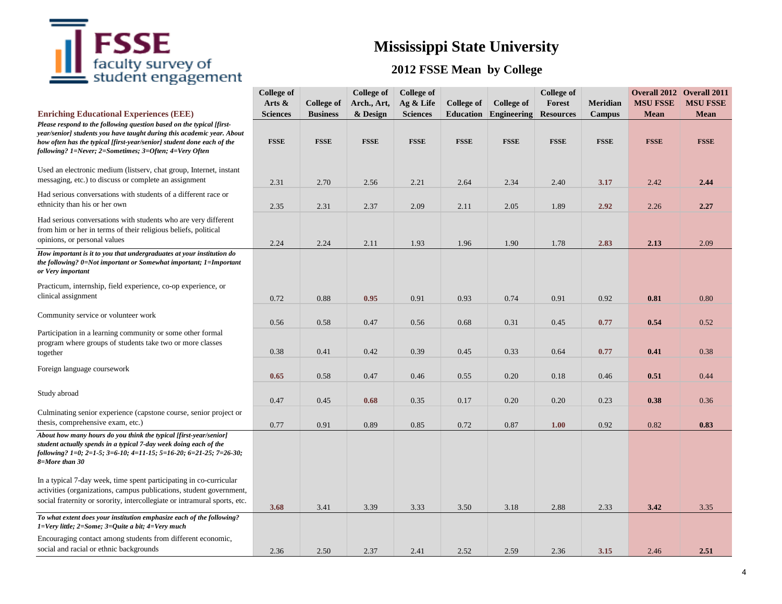# $\mathbf{F}$  **FSSE**<br> $\mathbf{f}$  aculty survey of<br> $\mathbf{f}$  student engagement

## **Mississippi State University**

### **2012 FSSE Mean by College**

|                                                                                                                                                                                                                                                                                                      | <b>College of</b><br>Arts $\&$ | <b>College of</b> | <b>College of</b><br>Arch., Art, | <b>College of</b><br>Ag & Life | <b>College of</b> | College of  | <b>College of</b><br><b>Forest</b> | <b>Meridian</b> | <b>MSU FSSE</b> | <b>Overall 2012 Overall 2011</b><br><b>MSU FSSE</b> |
|------------------------------------------------------------------------------------------------------------------------------------------------------------------------------------------------------------------------------------------------------------------------------------------------------|--------------------------------|-------------------|----------------------------------|--------------------------------|-------------------|-------------|------------------------------------|-----------------|-----------------|-----------------------------------------------------|
| <b>Enriching Educational Experiences (EEE)</b>                                                                                                                                                                                                                                                       | <b>Sciences</b>                | <b>Business</b>   | & Design                         | <b>Sciences</b>                | <b>Education</b>  | Engineering | <b>Resources</b>                   | <b>Campus</b>   | Mean            | <b>Mean</b>                                         |
| Please respond to the following question based on the typical [first-<br>year/senior] students you have taught during this academic year. About<br>how often has the typical [first-year/senior] student done each of the<br>following? 1=Never; 2=Sometimes; 3=Often; 4=Very Often                  | <b>FSSE</b>                    | <b>FSSE</b>       | <b>FSSE</b>                      | <b>FSSE</b>                    | <b>FSSE</b>       | <b>FSSE</b> | <b>FSSE</b>                        | <b>FSSE</b>     | <b>FSSE</b>     | <b>FSSE</b>                                         |
| Used an electronic medium (listserv, chat group, Internet, instant<br>messaging, etc.) to discuss or complete an assignment                                                                                                                                                                          | 2.31                           | 2.70              | 2.56                             | 2.21                           | 2.64              | 2.34        | 2.40                               | 3.17            | 2.42            | 2.44                                                |
| Had serious conversations with students of a different race or<br>ethnicity than his or her own                                                                                                                                                                                                      | 2.35                           | 2.31              | 2.37                             | 2.09                           | 2.11              | 2.05        | 1.89                               | 2.92            | 2.26            | 2.27                                                |
| Had serious conversations with students who are very different<br>from him or her in terms of their religious beliefs, political<br>opinions, or personal values                                                                                                                                     | 2.24                           | 2.24              | 2.11                             | 1.93                           | 1.96              | 1.90        | 1.78                               | 2.83            | 2.13            | 2.09                                                |
| How important is it to you that undergraduates at your institution do<br>the following? 0=Not important or Somewhat important; 1=Important<br>or Very important                                                                                                                                      |                                |                   |                                  |                                |                   |             |                                    |                 |                 |                                                     |
| Practicum, internship, field experience, co-op experience, or<br>clinical assignment                                                                                                                                                                                                                 | 0.72                           | 0.88              | 0.95                             | 0.91                           | 0.93              | 0.74        | 0.91                               | 0.92            | 0.81            | 0.80                                                |
| Community service or volunteer work                                                                                                                                                                                                                                                                  | 0.56                           | 0.58              | 0.47                             | 0.56                           | 0.68              | 0.31        | 0.45                               | 0.77            | 0.54            | 0.52                                                |
| Participation in a learning community or some other formal<br>program where groups of students take two or more classes<br>together                                                                                                                                                                  | 0.38                           | 0.41              | 0.42                             | 0.39                           | 0.45              | 0.33        | 0.64                               | 0.77            | 0.41            | 0.38                                                |
| Foreign language coursework                                                                                                                                                                                                                                                                          | 0.65                           | 0.58              | 0.47                             | 0.46                           | 0.55              | 0.20        | 0.18                               | 0.46            | 0.51            | 0.44                                                |
| Study abroad                                                                                                                                                                                                                                                                                         | 0.47                           | 0.45              | 0.68                             | 0.35                           | 0.17              | 0.20        | 0.20                               | 0.23            | 0.38            | 0.36                                                |
| Culminating senior experience (capstone course, senior project or<br>thesis, comprehensive exam, etc.)                                                                                                                                                                                               | 0.77                           | 0.91              | 0.89                             | 0.85                           | 0.72              | 0.87        | 1.00                               | 0.92            | 0.82            | 0.83                                                |
| About how many hours do you think the typical [first-year/senior]<br>student actually spends in a typical 7-day week doing each of the<br>following? 1=0; 2=1-5; 3=6-10; 4=11-15; 5=16-20; 6=21-25; 7=26-30;<br>8=More than 30<br>In a typical 7-day week, time spent participating in co-curricular |                                |                   |                                  |                                |                   |             |                                    |                 |                 |                                                     |
| activities (organizations, campus publications, student government,<br>social fraternity or sorority, intercollegiate or intramural sports, etc.                                                                                                                                                     | 3.68                           | 3.41              | 3.39                             | 3.33                           | 3.50              | 3.18        | 2.88                               | 2.33            | 3.42            | 3.35                                                |
| To what extent does your institution emphasize each of the following?<br>$1 = Very$ little; $2 = Some$ ; $3 = Quite$ a bit; $4 = Very$ much                                                                                                                                                          |                                |                   |                                  |                                |                   |             |                                    |                 |                 |                                                     |
| Encouraging contact among students from different economic,<br>social and racial or ethnic backgrounds                                                                                                                                                                                               | 2.36                           | 2.50              | 2.37                             | 2.41                           | 2.52              | 2.59        | 2.36                               | 3.15            | 2.46            | 2.51                                                |